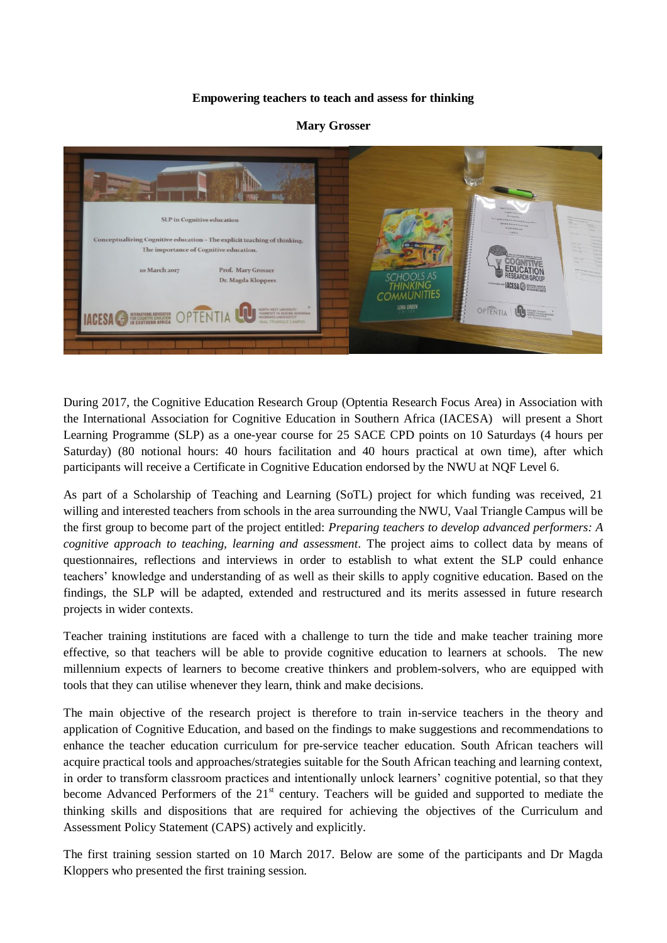## **Empowering teachers to teach and assess for thinking**

## **Mary Grosser**



During 2017, the Cognitive Education Research Group (Optentia Research Focus Area) in Association with the International Association for Cognitive Education in Southern Africa (IACESA) will present a Short Learning Programme (SLP) as a one-year course for 25 SACE CPD points on 10 Saturdays (4 hours per Saturday) (80 notional hours: 40 hours facilitation and 40 hours practical at own time), after which participants will receive a Certificate in Cognitive Education endorsed by the NWU at NQF Level 6.

As part of a Scholarship of Teaching and Learning (SoTL) project for which funding was received, 21 willing and interested teachers from schools in the area surrounding the NWU, Vaal Triangle Campus will be the first group to become part of the project entitled: *Preparing teachers to develop advanced performers: A cognitive approach to teaching, learning and assessment.* The project aims to collect data by means of questionnaires, reflections and interviews in order to establish to what extent the SLP could enhance teachers' knowledge and understanding of as well as their skills to apply cognitive education. Based on the findings, the SLP will be adapted, extended and restructured and its merits assessed in future research projects in wider contexts.

Teacher training institutions are faced with a challenge to turn the tide and make teacher training more effective, so that teachers will be able to provide cognitive education to learners at schools. The new millennium expects of learners to become creative thinkers and problem-solvers, who are equipped with tools that they can utilise whenever they learn, think and make decisions.

The main objective of the research project is therefore to train in-service teachers in the theory and application of Cognitive Education, and based on the findings to make suggestions and recommendations to enhance the teacher education curriculum for pre-service teacher education. South African teachers will acquire practical tools and approaches/strategies suitable for the South African teaching and learning context, in order to transform classroom practices and intentionally unlock learners' cognitive potential, so that they become Advanced Performers of the 21<sup>st</sup> century. Teachers will be guided and supported to mediate the thinking skills and dispositions that are required for achieving the objectives of the Curriculum and Assessment Policy Statement (CAPS) actively and explicitly.

The first training session started on 10 March 2017. Below are some of the participants and Dr Magda Kloppers who presented the first training session.